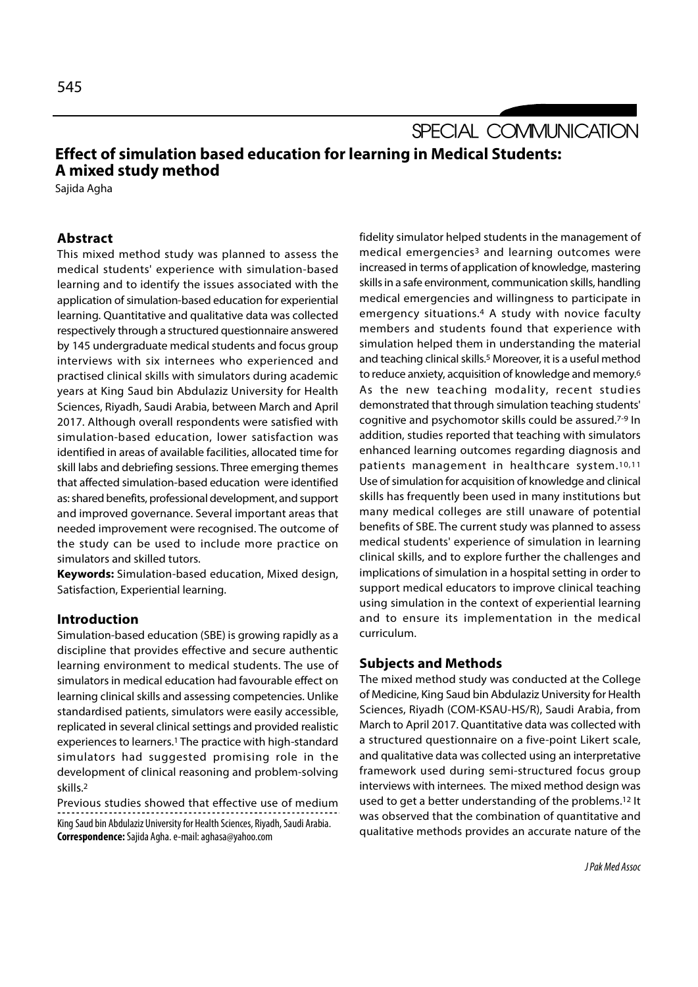SPECIAL COMMUNICATION

# Effect of simulation based education for learning in Medical Students: A mixed study method

Sajida Agha

# Abstract

This mixed method study was planned to assess the medical students' experience with simulation-based learning and to identify the issues associated with the application of simulation-based education for experiential learning. Quantitative and qualitative data was collected respectively through a structured questionnaire answered by 145 undergraduate medical students and focus group interviews with six internees who experienced and practised clinical skills with simulators during academic years at King Saud bin Abdulaziz University for Health Sciences, Riyadh, Saudi Arabia, between March and April 2017. Although overall respondents were satisfied with simulation-based education, lower satisfaction was identified in areas of available facilities, allocated time for skill labs and debriefing sessions. Three emerging themes that affected simulation-based education were identified as: shared benefits, professional development, and support and improved governance. Several important areas that needed improvement were recognised. The outcome of the study can be used to include more practice on simulators and skilled tutors.

Keywords: Simulation-based education, Mixed design, Satisfaction, Experiential learning.

## Introduction

Simulation-based education (SBE) is growing rapidly as a discipline that provides effective and secure authentic learning environment to medical students. The use of simulators in medical education had favourable effect on learning clinical skills and assessing competencies. Unlike standardised patients, simulators were easily accessible, replicated in several clinical settings and provided realistic experiences to learners.1 The practice with high-standard simulators had suggested promising role in the development of clinical reasoning and problem-solving skills.2

Previous studies showed that effective use of medium King Saud bin Abdulaziz University for Health Sciences, Riyadh, Saudi Arabia. Correspondence: Sajida Agha. e-mail: aghasa@yahoo.com

fidelity simulator helped students in the management of medical emergencies3 and learning outcomes were increased in terms of application of knowledge, mastering skills in a safe environment, communication skills, handling medical emergencies and willingness to participate in emergency situations.4 A study with novice faculty members and students found that experience with simulation helped them in understanding the material and teaching clinical skills.5 Moreover, it is a useful method to reduce anxiety, acquisition of knowledge and memory.6 As the new teaching modality, recent studies demonstrated that through simulation teaching students' cognitive and psychomotor skills could be assured.7-9 In addition, studies reported that teaching with simulators enhanced learning outcomes regarding diagnosis and patients management in healthcare system.10,11 Use of simulation for acquisition of knowledge and clinical skills has frequently been used in many institutions but many medical colleges are still unaware of potential benefits of SBE. The current study was planned to assess medical students' experience of simulation in learning clinical skills, and to explore further the challenges and implications of simulation in a hospital setting in order to support medical educators to improve clinical teaching using simulation in the context of experiential learning and to ensure its implementation in the medical curriculum.

## Subjects and Methods

The mixed method study was conducted at the College of Medicine, King Saud bin Abdulaziz University for Health Sciences, Riyadh (COM-KSAU-HS/R), Saudi Arabia, from March to April 2017. Quantitative data was collected with a structured questionnaire on a five-point Likert scale, and qualitative data was collected using an interpretative framework used during semi-structured focus group interviews with internees. The mixed method design was used to get a better understanding of the problems.12 It was observed that the combination of quantitative and qualitative methods provides an accurate nature of the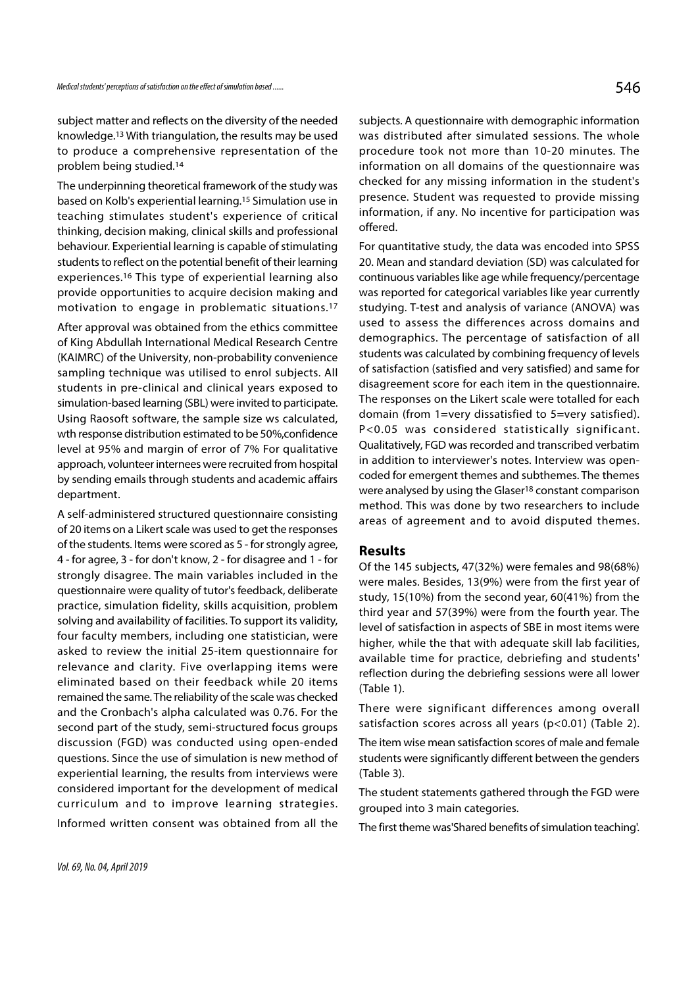subject matter and reflects on the diversity of the needed knowledge.13 With triangulation, the results may be used to produce a comprehensive representation of the problem being studied.14

The underpinning theoretical framework of the study was based on Kolb's experiential learning.15 Simulation use in teaching stimulates student's experience of critical thinking, decision making, clinical skills and professional behaviour. Experiential learning is capable of stimulating students to reflect on the potential benefit of their learning experiences.16 This type of experiential learning also provide opportunities to acquire decision making and motivation to engage in problematic situations.17

After approval was obtained from the ethics committee of King Abdullah International Medical Research Centre (KAIMRC) of the University, non-probability convenience sampling technique was utilised to enrol subjects. All students in pre-clinical and clinical years exposed to simulation-based learning (SBL) were invited to participate. Using Raosoft software, the sample size ws calculated, wth response distribution estimated to be 50%,confidence level at 95% and margin of error of 7% For qualitative approach, volunteer internees were recruited from hospital by sending emails through students and academic affairs department.

A self-administered structured questionnaire consisting of 20 items on a Likert scale was used to get the responses of the students. Items were scored as 5 - for strongly agree, 4 - for agree, 3 - for don't know, 2 - for disagree and 1 - for strongly disagree. The main variables included in the questionnaire were quality of tutor's feedback, deliberate practice, simulation fidelity, skills acquisition, problem solving and availability of facilities. To support its validity, four faculty members, including one statistician, were asked to review the initial 25-item questionnaire for relevance and clarity. Five overlapping items were eliminated based on their feedback while 20 items remained the same. The reliability of the scale was checked and the Cronbach's alpha calculated was 0.76. For the second part of the study, semi-structured focus groups discussion (FGD) was conducted using open-ended questions. Since the use of simulation is new method of experiential learning, the results from interviews were considered important for the development of medical curriculum and to improve learning strategies. Informed written consent was obtained from all the

procedure took not more than 10-20 minutes. The information on all domains of the questionnaire was checked for any missing information in the student's presence. Student was requested to provide missing information, if any. No incentive for participation was offered.

For quantitative study, the data was encoded into SPSS 20. Mean and standard deviation (SD) was calculated for continuous variables like age while frequency/percentage was reported for categorical variables like year currently studying. T-test and analysis of variance (ANOVA) was used to assess the differences across domains and demographics. The percentage of satisfaction of all students was calculated by combining frequency of levels of satisfaction (satisfied and very satisfied) and same for disagreement score for each item in the questionnaire. The responses on the Likert scale were totalled for each domain (from 1=very dissatisfied to 5=very satisfied). P<0.05 was considered statistically significant. Qualitatively, FGD was recorded and transcribed verbatim in addition to interviewer's notes. Interview was opencoded for emergent themes and subthemes. The themes were analysed by using the Glaser<sup>18</sup> constant comparison method. This was done by two researchers to include areas of agreement and to avoid disputed themes.

#### Results

Of the 145 subjects, 47(32%) were females and 98(68%) were males. Besides, 13(9%) were from the first year of study, 15(10%) from the second year, 60(41%) from the third year and 57(39%) were from the fourth year. The level of satisfaction in aspects of SBE in most items were higher, while the that with adequate skill lab facilities, available time for practice, debriefing and students' reflection during the debriefing sessions were all lower (Table 1).

There were significant differences among overall satisfaction scores across all years (p<0.01) (Table 2).

The item wise mean satisfaction scores of male and female students were significantly different between the genders (Table 3).

The student statements gathered through the FGD were grouped into 3 main categories.

The first theme was'Shared benefits of simulation teaching'.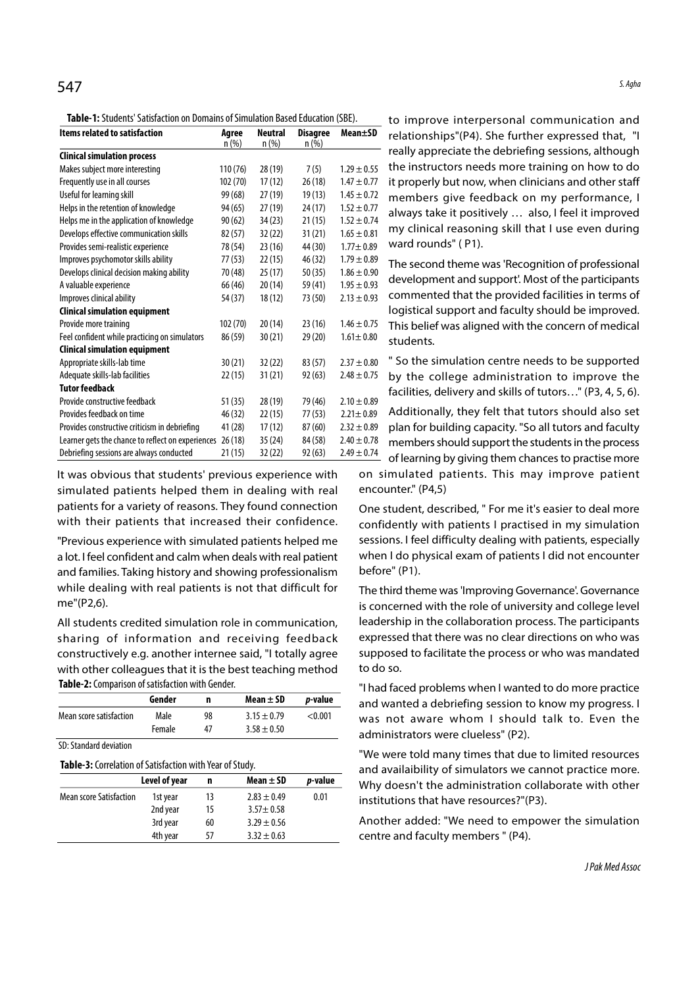Table-1: Students' Satisfaction on Domains of Simulation Based Education (SBE).

| <b>Items related to satisfaction</b>              | Agree    | Neutral | <b>Disagree</b> | Mean±SD         |
|---------------------------------------------------|----------|---------|-----------------|-----------------|
|                                                   | n(%)     | n (%)   | n(%)            |                 |
| <b>Clinical simulation process</b>                |          |         |                 |                 |
| Makes subject more interesting                    | 110(76)  | 28 (19) | 7(5)            | $1.29 \pm 0.55$ |
| Frequently use in all courses                     | 102 (70) | 17(12)  | 26(18)          | $1.47 \pm 0.77$ |
| Useful for learning skill                         | 99 (68)  | 27 (19) | 19(13)          | $1.45 \pm 0.72$ |
| Helps in the retention of knowledge               | 94 (65)  | 27 (19) | 24(17)          | $1.52 \pm 0.77$ |
| Helps me in the application of knowledge          | 90(62)   | 34 (23) | 21(15)          | $1.52 \pm 0.74$ |
| Develops effective communication skills           | 82 (57)  | 32 (22) | 31(21)          | $1.65 \pm 0.81$ |
| Provides semi-realistic experience                | 78 (54)  | 23 (16) | 44 (30)         | $1.77 \pm 0.89$ |
| Improves psychomotor skills ability               | 77 (53)  | 22 (15) | 46 (32)         | $1.79 \pm 0.89$ |
| Develops clinical decision making ability         | 70 (48)  | 25 (17) | 50(35)          | $1.86 \pm 0.90$ |
| A valuable experience                             | 66 (46)  | 20(14)  | 59 (41)         | $1.95 \pm 0.93$ |
| Improves clinical ability                         | 54 (37)  | 18 (12) | 73 (50)         | $2.13 \pm 0.93$ |
| <b>Clinical simulation equipment</b>              |          |         |                 |                 |
| Provide more training                             | 102(70)  | 20 (14) | 23(16)          | $1.46 \pm 0.75$ |
| Feel confident while practicing on simulators     | 86 (59)  | 30(21)  | 29(20)          | $1.61 \pm 0.80$ |
| <b>Clinical simulation equipment</b>              |          |         |                 |                 |
| Appropriate skills-lab time                       | 30(21)   | 32 (22) | 83 (57)         | $2.37 \pm 0.80$ |
| Adequate skills-lab facilities                    | 22(15)   | 31(21)  | 92(63)          | $2.48 \pm 0.75$ |
| <b>Tutor feedback</b>                             |          |         |                 |                 |
| Provide constructive feedback                     | 51 (35)  | 28 (19) | 79 (46)         | $2.10 \pm 0.89$ |
| Provides feedback on time                         | 46 (32)  | 22 (15) | 77 (53)         | $2.21 \pm 0.89$ |
| Provides constructive criticism in debriefing     | 41 (28)  | 17(12)  | 87(60)          | $2.32 \pm 0.89$ |
| Learner gets the chance to reflect on experiences | 26(18)   | 35 (24) | 84 (58)         | $2.40 \pm 0.78$ |
| Debriefing sessions are always conducted          | 21 (15)  | 32 (22) | 92(63)          | $2.49 \pm 0.74$ |

It was obvious that students' previous experience with simulated patients helped them in dealing with real patients for a variety of reasons. They found connection with their patients that increased their confidence.

"Previous experience with simulated patients helped me a lot. I feel confident and calm when deals with real patient and families. Taking history and showing professionalism while dealing with real patients is not that difficult for me"(P2,6).

All students credited simulation role in communication, sharing of information and receiving feedback constructively e.g. another internee said, "I totally agree with other colleagues that it is the best teaching method Table-2: Comparison of satisfaction with Gender.

|                         | Gender | n  | Mean $\pm$ SD   | <i>p</i> -value |
|-------------------------|--------|----|-----------------|-----------------|
| Mean score satisfaction | Male   | 98 | $3.15 \pm 0.79$ | < 0.001         |
|                         | Female | 47 | $3.58 \pm 0.50$ |                 |

SD: Standard deviation

Table-3: Correlation of Satisfaction with Year of Study.

|                                | Level of year | n  | Mean $\pm$ SD   | <i>p</i> -value |
|--------------------------------|---------------|----|-----------------|-----------------|
| <b>Mean score Satisfaction</b> | 1st year      | 13 | $2.83 \pm 0.49$ | 0.01            |
|                                | 2nd year      | 15 | $3.57 \pm 0.58$ |                 |
|                                | 3rd year      | 60 | $3.29 \pm 0.56$ |                 |
|                                | 4th year      | 57 | $3.32 \pm 0.63$ |                 |

to improve interpersonal communication and relationships"(P4). She further expressed that, "I really appreciate the debriefing sessions, although the instructors needs more training on how to do it properly but now, when clinicians and other staff members give feedback on my performance, I

always take it positively … also, I feel it improved my clinical reasoning skill that I use even during ward rounds" ( P1).

The second theme was 'Recognition of professional development and support'. Most of the participants commented that the provided facilities in terms of logistical support and faculty should be improved. This belief was aligned with the concern of medical students.

" So the simulation centre needs to be supported by the college administration to improve the facilities, delivery and skills of tutors…" (P3, 4, 5, 6).

Additionally, they felt that tutors should also set plan for building capacity. "So all tutors and faculty members should support the students in the process of learning by giving them chances to practise more

on simulated patients. This may improve patient encounter." (P4,5)

One student, described, " For me it's easier to deal more confidently with patients I practised in my simulation sessions. I feel difficulty dealing with patients, especially when I do physical exam of patients I did not encounter before" (P1).

The third theme was 'Improving Governance'. Governance is concerned with the role of university and college level leadership in the collaboration process. The participants expressed that there was no clear directions on who was supposed to facilitate the process or who was mandated to do so.

"I had faced problems when I wanted to do more practice and wanted a debriefing session to know my progress. I was not aware whom I should talk to. Even the administrators were clueless" (P2).

"We were told many times that due to limited resources and availaibility of simulators we cannot practice more. Why doesn't the administration collaborate with other institutions that have resources?"(P3).

Another added: "We need to empower the simulation centre and faculty members " (P4).

J Pak Med Assoc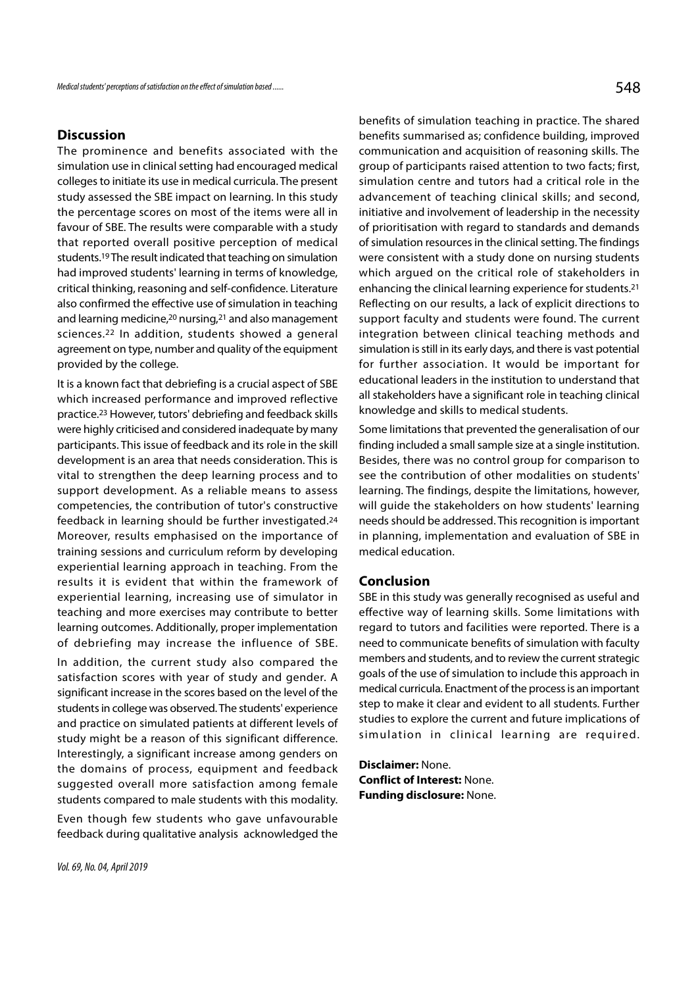# **Discussion**

The prominence and benefits associated with the simulation use in clinical setting had encouraged medical colleges to initiate its use in medical curricula. The present study assessed the SBE impact on learning. In this study the percentage scores on most of the items were all in favour of SBE. The results were comparable with a study that reported overall positive perception of medical students.19 The result indicated that teaching on simulation had improved students' learning in terms of knowledge, critical thinking, reasoning and self-confidence. Literature also confirmed the effective use of simulation in teaching and learning medicine,20 nursing,21 and also management sciences.22 In addition, students showed a general agreement on type, number and quality of the equipment provided by the college.

It is a known fact that debriefing is a crucial aspect of SBE which increased performance and improved reflective practice.23 However, tutors' debriefing and feedback skills were highly criticised and considered inadequate by many participants. This issue of feedback and its role in the skill development is an area that needs consideration. This is vital to strengthen the deep learning process and to support development. As a reliable means to assess competencies, the contribution of tutor's constructive feedback in learning should be further investigated.24 Moreover, results emphasised on the importance of training sessions and curriculum reform by developing experiential learning approach in teaching. From the results it is evident that within the framework of experiential learning, increasing use of simulator in teaching and more exercises may contribute to better learning outcomes. Additionally, proper implementation of debriefing may increase the influence of SBE.

In addition, the current study also compared the satisfaction scores with year of study and gender. A significant increase in the scores based on the level of the students in college was observed. The students' experience and practice on simulated patients at different levels of studies to explore the current and future implications of<br>simulation in clinical learning are required. study might be a reason of this significant difference. Interestingly, a significant increase among genders on the domains of process, equipment and feedback suggested overall more satisfaction among female students compared to male students with this modality.

Even though few students who gave unfavourable feedback during qualitative analysis acknowledged the benefits of simulation teaching in practice. The shared benefits summarised as; confidence building, improved communication and acquisition of reasoning skills. The group of participants raised attention to two facts; first, simulation centre and tutors had a critical role in the advancement of teaching clinical skills; and second, initiative and involvement of leadership in the necessity of prioritisation with regard to standards and demands of simulation resources in the clinical setting. The findings were consistent with a study done on nursing students which argued on the critical role of stakeholders in enhancing the clinical learning experience for students.21 Reflecting on our results, a lack of explicit directions to support faculty and students were found. The current integration between clinical teaching methods and simulation is still in its early days, and there is vast potential for further association. It would be important for educational leaders in the institution to understand that all stakeholders have a significant role in teaching clinical knowledge and skills to medical students.

Some limitations that prevented the generalisation of our finding included a small sample size at a single institution. Besides, there was no control group for comparison to see the contribution of other modalities on students' learning. The findings, despite the limitations, however, will guide the stakeholders on how students' learning needs should be addressed. This recognition is important in planning, implementation and evaluation of SBE in medical education.

### Conclusion

SBE in this study was generally recognised as useful and effective way of learning skills. Some limitations with regard to tutors and facilities were reported. There is a need to communicate benefits of simulation with faculty members and students, and to review the current strategic goals of the use of simulation to include this approach in medical curricula. Enactment of the process is an important step to make it clear and evident to all students. Further studies to explore the current and future implications of SBE in this study was generally recognised as useful and<br>effective way of learning skills. Some limitations with<br>regard to tutors and facilities were reported. There is a<br>need to communicate benefits of simulation with fac

Disclaimer: None. Conflict of Interest: None. Funding disclosure: None.